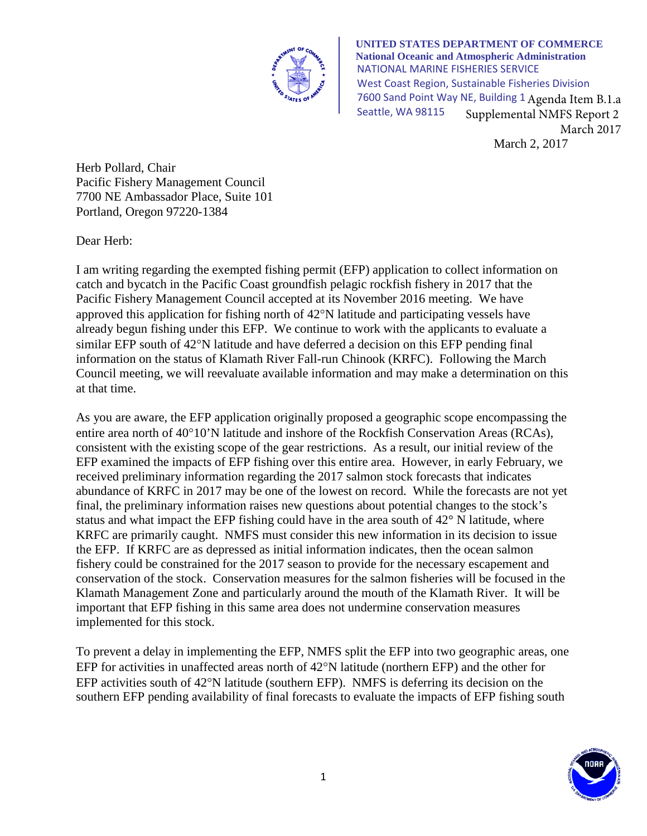

March 2, 2017 **UNITED STATES DEPARTMENT OF COMMERCE National Oceanic and Atmospheric Administration** NATIONAL MARINE FISHERIES SERVICE West Coast Region, Sustainable Fisheries Division 7600 Sand Point Way NE, Building 1 Agenda Item B.1.a Seattle, WA 98115 Supplemental NMFS Report 2 March 2017

Herb Pollard, Chair Pacific Fishery Management Council 7700 NE Ambassador Place, Suite 101 Portland, Oregon 97220-1384

Dear Herb:

I am writing regarding the exempted fishing permit (EFP) application to collect information on catch and bycatch in the Pacific Coast groundfish pelagic rockfish fishery in 2017 that the Pacific Fishery Management Council accepted at its November 2016 meeting. We have approved this application for fishing north of 42°N latitude and participating vessels have already begun fishing under this EFP. We continue to work with the applicants to evaluate a similar EFP south of 42°N latitude and have deferred a decision on this EFP pending final information on the status of Klamath River Fall-run Chinook (KRFC). Following the March Council meeting, we will reevaluate available information and may make a determination on this at that time.

As you are aware, the EFP application originally proposed a geographic scope encompassing the entire area north of 40°10'N latitude and inshore of the Rockfish Conservation Areas (RCAs), consistent with the existing scope of the gear restrictions. As a result, our initial review of the EFP examined the impacts of EFP fishing over this entire area. However, in early February, we received preliminary information regarding the 2017 salmon stock forecasts that indicates abundance of KRFC in 2017 may be one of the lowest on record. While the forecasts are not yet final, the preliminary information raises new questions about potential changes to the stock's status and what impact the EFP fishing could have in the area south of 42° N latitude, where KRFC are primarily caught. NMFS must consider this new information in its decision to issue the EFP. If KRFC are as depressed as initial information indicates, then the ocean salmon fishery could be constrained for the 2017 season to provide for the necessary escapement and conservation of the stock. Conservation measures for the salmon fisheries will be focused in the Klamath Management Zone and particularly around the mouth of the Klamath River. It will be important that EFP fishing in this same area does not undermine conservation measures implemented for this stock.

To prevent a delay in implementing the EFP, NMFS split the EFP into two geographic areas, one EFP for activities in unaffected areas north of 42°N latitude (northern EFP) and the other for EFP activities south of 42°N latitude (southern EFP). NMFS is deferring its decision on the southern EFP pending availability of final forecasts to evaluate the impacts of EFP fishing south

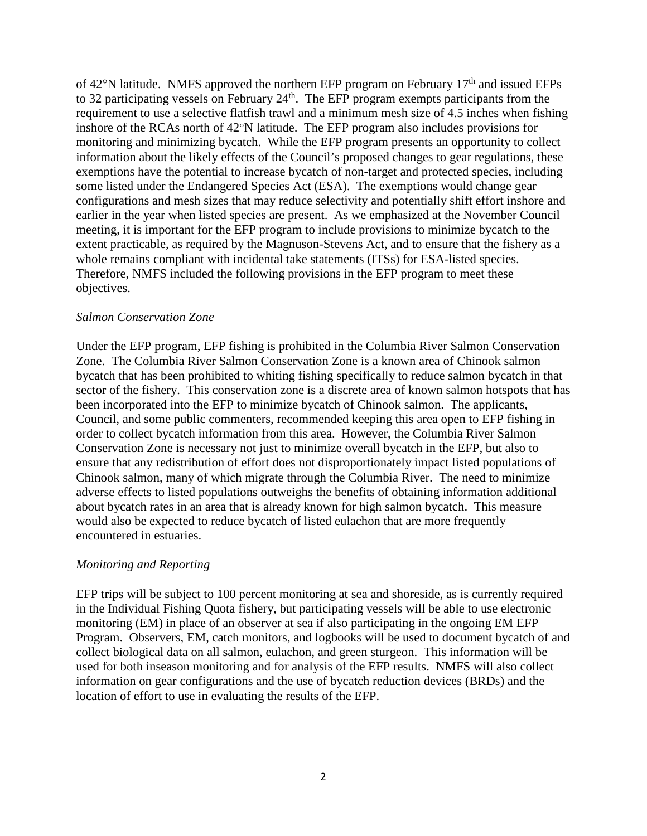of 42°N latitude. NMFS approved the northern EFP program on February 17<sup>th</sup> and issued EFPs to 32 participating vessels on February 24<sup>th</sup>. The EFP program exempts participants from the requirement to use a selective flatfish trawl and a minimum mesh size of 4.5 inches when fishing inshore of the RCAs north of 42°N latitude. The EFP program also includes provisions for monitoring and minimizing bycatch. While the EFP program presents an opportunity to collect information about the likely effects of the Council's proposed changes to gear regulations, these exemptions have the potential to increase bycatch of non-target and protected species, including some listed under the Endangered Species Act (ESA). The exemptions would change gear configurations and mesh sizes that may reduce selectivity and potentially shift effort inshore and earlier in the year when listed species are present. As we emphasized at the November Council meeting, it is important for the EFP program to include provisions to minimize bycatch to the extent practicable, as required by the Magnuson-Stevens Act, and to ensure that the fishery as a whole remains compliant with incidental take statements (ITSs) for ESA-listed species. Therefore, NMFS included the following provisions in the EFP program to meet these objectives.

## *Salmon Conservation Zone*

Under the EFP program, EFP fishing is prohibited in the Columbia River Salmon Conservation Zone. The Columbia River Salmon Conservation Zone is a known area of Chinook salmon bycatch that has been prohibited to whiting fishing specifically to reduce salmon bycatch in that sector of the fishery. This conservation zone is a discrete area of known salmon hotspots that has been incorporated into the EFP to minimize bycatch of Chinook salmon. The applicants, Council, and some public commenters, recommended keeping this area open to EFP fishing in order to collect bycatch information from this area. However, the Columbia River Salmon Conservation Zone is necessary not just to minimize overall bycatch in the EFP, but also to ensure that any redistribution of effort does not disproportionately impact listed populations of Chinook salmon, many of which migrate through the Columbia River. The need to minimize adverse effects to listed populations outweighs the benefits of obtaining information additional about bycatch rates in an area that is already known for high salmon bycatch. This measure would also be expected to reduce bycatch of listed eulachon that are more frequently encountered in estuaries.

## *Monitoring and Reporting*

EFP trips will be subject to 100 percent monitoring at sea and shoreside, as is currently required in the Individual Fishing Quota fishery, but participating vessels will be able to use electronic monitoring (EM) in place of an observer at sea if also participating in the ongoing EM EFP Program. Observers, EM, catch monitors, and logbooks will be used to document bycatch of and collect biological data on all salmon, eulachon, and green sturgeon. This information will be used for both inseason monitoring and for analysis of the EFP results. NMFS will also collect information on gear configurations and the use of bycatch reduction devices (BRDs) and the location of effort to use in evaluating the results of the EFP.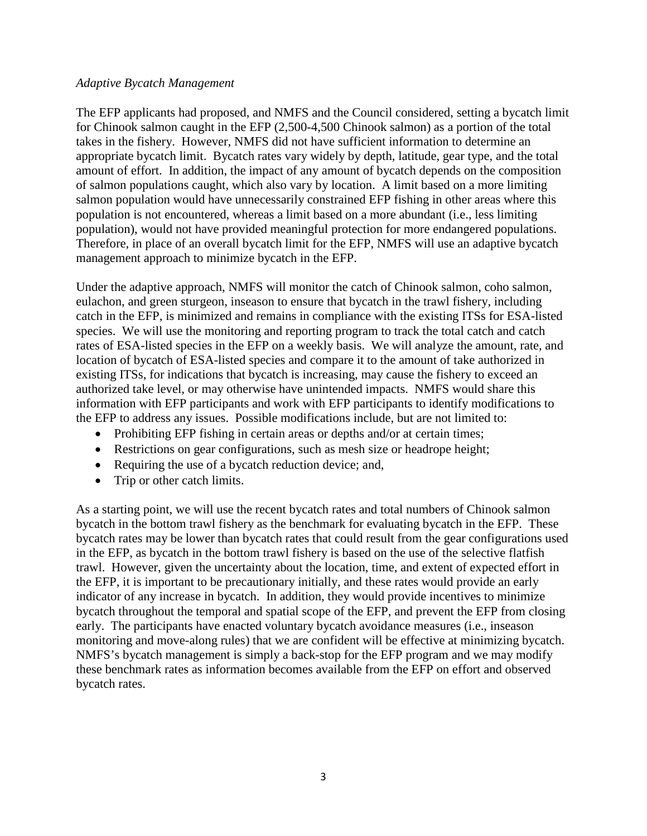## *Adaptive Bycatch Management*

The EFP applicants had proposed, and NMFS and the Council considered, setting a bycatch limit for Chinook salmon caught in the EFP (2,500-4,500 Chinook salmon) as a portion of the total takes in the fishery. However, NMFS did not have sufficient information to determine an appropriate bycatch limit. Bycatch rates vary widely by depth, latitude, gear type, and the total amount of effort. In addition, the impact of any amount of bycatch depends on the composition of salmon populations caught, which also vary by location. A limit based on a more limiting salmon population would have unnecessarily constrained EFP fishing in other areas where this population is not encountered, whereas a limit based on a more abundant (i.e., less limiting population), would not have provided meaningful protection for more endangered populations. Therefore, in place of an overall bycatch limit for the EFP, NMFS will use an adaptive bycatch management approach to minimize bycatch in the EFP.

Under the adaptive approach, NMFS will monitor the catch of Chinook salmon, coho salmon, eulachon, and green sturgeon, inseason to ensure that bycatch in the trawl fishery, including catch in the EFP, is minimized and remains in compliance with the existing ITSs for ESA-listed species. We will use the monitoring and reporting program to track the total catch and catch rates of ESA-listed species in the EFP on a weekly basis. We will analyze the amount, rate, and location of bycatch of ESA-listed species and compare it to the amount of take authorized in existing ITSs, for indications that bycatch is increasing, may cause the fishery to exceed an authorized take level, or may otherwise have unintended impacts. NMFS would share this information with EFP participants and work with EFP participants to identify modifications to the EFP to address any issues. Possible modifications include, but are not limited to:

- Prohibiting EFP fishing in certain areas or depths and/or at certain times;
- Restrictions on gear configurations, such as mesh size or headrope height;
- Requiring the use of a bycatch reduction device; and,
- Trip or other catch limits.

As a starting point, we will use the recent bycatch rates and total numbers of Chinook salmon bycatch in the bottom trawl fishery as the benchmark for evaluating bycatch in the EFP. These bycatch rates may be lower than bycatch rates that could result from the gear configurations used in the EFP, as bycatch in the bottom trawl fishery is based on the use of the selective flatfish trawl. However, given the uncertainty about the location, time, and extent of expected effort in the EFP, it is important to be precautionary initially, and these rates would provide an early indicator of any increase in bycatch. In addition, they would provide incentives to minimize bycatch throughout the temporal and spatial scope of the EFP, and prevent the EFP from closing early. The participants have enacted voluntary bycatch avoidance measures (i.e., inseason monitoring and move-along rules) that we are confident will be effective at minimizing bycatch. NMFS's bycatch management is simply a back-stop for the EFP program and we may modify these benchmark rates as information becomes available from the EFP on effort and observed bycatch rates.